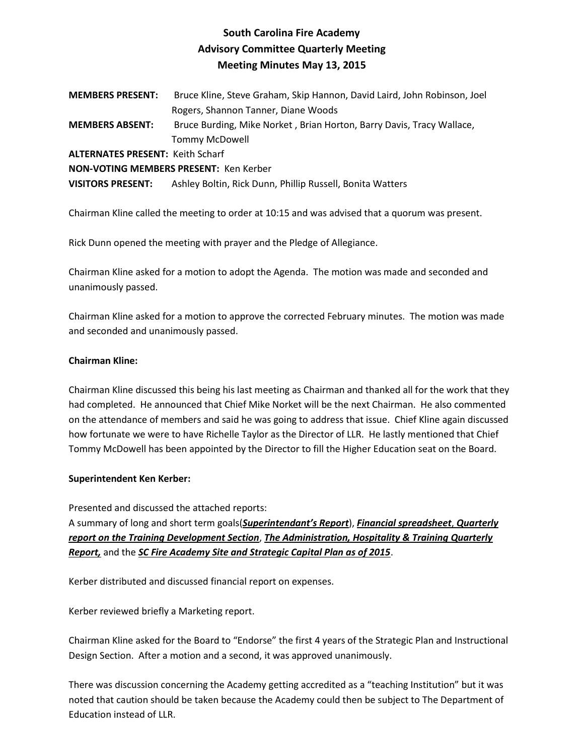# **South Carolina Fire Academy Advisory Committee Quarterly Meeting Meeting Minutes May 13, 2015**

**MEMBERS PRESENT:** Bruce Kline, Steve Graham, Skip Hannon, David Laird, John Robinson, Joel Rogers, Shannon Tanner, Diane Woods **MEMBERS ABSENT:** Bruce Burding, Mike Norket , Brian Horton, Barry Davis, Tracy Wallace, Tommy McDowell **ALTERNATES PRESENT:** Keith Scharf **NON-VOTING MEMBERS PRESENT:** Ken Kerber

**VISITORS PRESENT:** Ashley Boltin, Rick Dunn, Phillip Russell, Bonita Watters

Chairman Kline called the meeting to order at 10:15 and was advised that a quorum was present.

Rick Dunn opened the meeting with prayer and the Pledge of Allegiance.

Chairman Kline asked for a motion to adopt the Agenda. The motion was made and seconded and unanimously passed.

Chairman Kline asked for a motion to approve the corrected February minutes. The motion was made and seconded and unanimously passed.

# **Chairman Kline:**

Chairman Kline discussed this being his last meeting as Chairman and thanked all for the work that they had completed. He announced that Chief Mike Norket will be the next Chairman. He also commented on the attendance of members and said he was going to address that issue. Chief Kline again discussed how fortunate we were to have Richelle Taylor as the Director of LLR. He lastly mentioned that Chief Tommy McDowell has been appointed by the Director to fill the Higher Education seat on the Board.

## **Superintendent Ken Kerber:**

Presented and discussed the attached reports: A summary of long and short term goals(*Superintendant's Report*), *Financial spreadsheet*, *Quarterly report on the Training Development Section*, *The Administration, Hospitality & Training Quarterly Report,* and the *SC Fire Academy Site and Strategic Capital Plan as of 2015*.

Kerber distributed and discussed financial report on expenses.

Kerber reviewed briefly a Marketing report.

Chairman Kline asked for the Board to "Endorse" the first 4 years of the Strategic Plan and Instructional Design Section. After a motion and a second, it was approved unanimously.

There was discussion concerning the Academy getting accredited as a "teaching Institution" but it was noted that caution should be taken because the Academy could then be subject to The Department of Education instead of LLR.